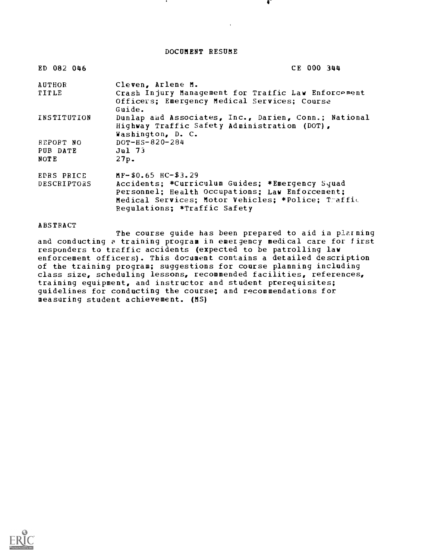DOCUMENT RESUME

| ED 082 046  | CE 000 344                                                                                                                |
|-------------|---------------------------------------------------------------------------------------------------------------------------|
| AUTHOR      | Cleven, Arlene M.                                                                                                         |
| TITLE       | Crash Injury Management for Traffic Law Enforcement<br>Officers; Emergency Medical Services; Course<br>Guide.             |
| INSTITUTION | Dunlap and Associates, Inc., Darien, Conn.; National<br>Highway Traffic Safety Administration (DOT),<br>Washington, D. C. |
| REPORT NO   | $DOT-HS-820-284$                                                                                                          |
| PUB DATE    | <b>Jul 73</b>                                                                                                             |
| <b>NOTE</b> | 27p.                                                                                                                      |
| EDRS PRICE  | $MF-$0.65$ $HC-$3.29$                                                                                                     |
| DESCRIPTORS | Accidents: *Curriculum Guides; *Emergency Squad                                                                           |
|             | Personnel; Health Occupations; Law Enforcement;                                                                           |
|             | Medical Services; Motor Vehicles; *Police; Traffic                                                                        |
|             | Requlations; *Traffic Safety                                                                                              |

**ABSTRACT** 

The course guide has been prepared to aid in plarning and conducting a training program in emergency medical care for first responders to traffic accidents (expected to be patrolling law enforcement officers). This document contains a detailed description of the training program; suggestions for course planning including class size, scheduling lessons, recommended facilities, references, training equipment, and instructor and student prerequisites; guidelines for conducting the course; and recommendations for measuring student achievement. (MS)

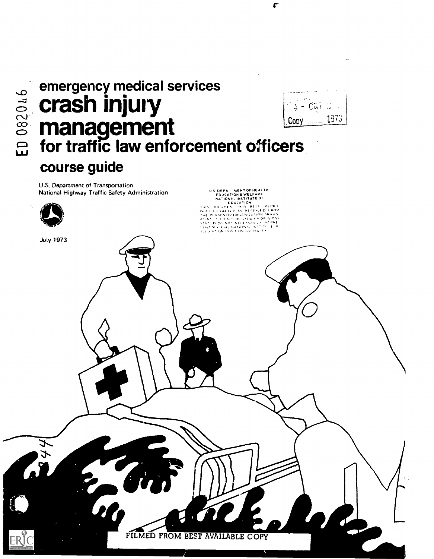# emergency medical services crash injury  $\stackrel{\sim}{\approx}$  management Copy LT, for traffic law enforcement officers course guide

 $1 - 0.01$ 1973

r

U.S. Department of Transportation National Highway Traffic Safety Administration

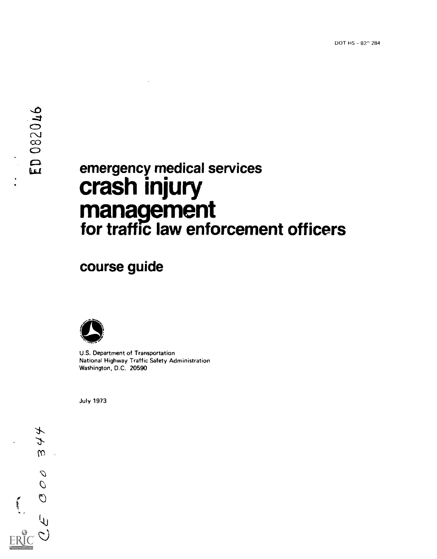# E emergency medical services crash injury management for traffic law enforcement officers

course guide



U.S. Department of Transportation National Highway Traffic Safety Administration Washington, D.C. 20590

July 1973

 $\overline{\mathcal{X}}$  $\mathcal{L}$  $\omega$  $\mathbb{R}^2$  $\mathcal{O}$  $\overline{\mathcal{O}}$  $\mathcal{O}$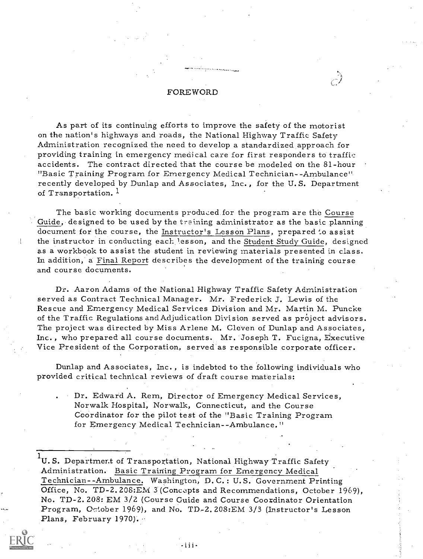# FOREWORD

As part of its continuing efforts to improve the safety of the motorist on the nation's highways and roads, the National Highway Traffic Safety Administration recognized the need to develop a standardized approach for providing training in emergency medical care for first responders to traffic accidents. The contract directed that the course be modeled on the 81-hour "Basic Training Program for Emergency Medical Technician- -Ambulance" recently developed by Dunlap and Associates, Inc., for the U. S. Department of Transportation.<sup>1</sup>

The basic working documents produced for the program are the Course Guide, designed to be used by the training administrator as the basic planning document for the course, the Instructor's Lesson Plans, prepared to assist the instructor in conducting each lesson, and the Student Study Guide, designed as a workbook to assist the student in reviewing materials presented in class. Li addition, a Final Report describes the development of the training course and course documents.

Dr. Aaron Adams of the National Highway Traffic Safety Administration served as Contract Technical Manager. Mr. Frederick J. Lewis of the Rescue and Emergency Medical Services Division and Mr. Martin M. Puncke of the Traffic Regulations andAdjudication Division served as project advisors. The project was directed by Miss Arlene M. Cleven of Dunlap and Associates, Inc., who prepared all course documents. Mr. Joseph T. Fucigna, Executive Vice President of the Corporation, served as responsible corporate officer.

Dunlap and Associates, Inc. , is indebted to the following individuals who provided critical technical reviews of draft course materials:

Dr. Edward A. Rem, Director of Emergency Medical Services, Norwalk Hospital, Norwalk, Connecticut, and the Course Coordinator for the pilot test of the "Basic Training Program for Emergency Medical Technician--Ambulance."

<sup>1</sup>U.S. Department of Transportation, National Highway Traffic Safety Administration. Basic Training Program for Emergency Medical Technician--Ambulance. Washington, D. C.: U.S. Government Printing Office, No. TD-2.208:EM 3 (Concepts and Recommendations, October 1969), No. TD -2. 208: EM 3/2 (Course Guide and Course Coordinator Orientation Program, October 1969), and No. TD-2.208:EM 3/3 (Instructor's Lesson Plans, February 1970).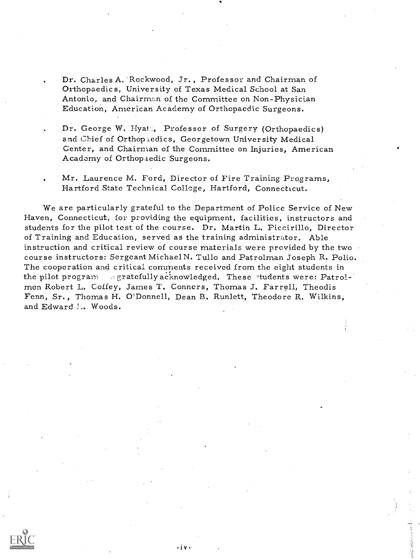Dr. Charles A. 'Rockwood, Jr., Professor and Chairman of Orthopaedics, University of Texas Medical School at San Antonio, and Chairman of the Committee on Non-Physician Education, American Academy of Orthopaedic Surgeons.

Dr. George W. Hyatt, Professor of Surgery (Orthopaedics) and Chief of Orthopaedics, Georgetown University Medical Center, and Chairman of the Committee on Injuries, American Academy of Orthopiedic Surgeons.

Mr, Laurence M. Ford, Director of Fire Training Programs, Hartford State Technical College, Hartford, Connecticut.

We are particularly grateful to the Department of Police Service of New Haven, Connecticut, for providing the equipment, facilities, instructors and students for the pilot test of the course. Dr. Martin L. Piccirillo, Director of Training and Education, served as the training administrator. Able instruction and critical review of course materials were provided by the two course instructors: Sergeant MichaelN. Tullo and Patrolman Joseph R. Polio. The cooperation and critical comments received from the eight students in the pilot program gegratefully acknowledged. These students were: Patrolmen Robert L. Coffey, James T. Conners, Thomas J. Farrell, Theodis Fenn, Sr., Thomas H. O'Donnell, Dean B. Runlett, Theodore R. Wilkins, and Edward N.. Woods.

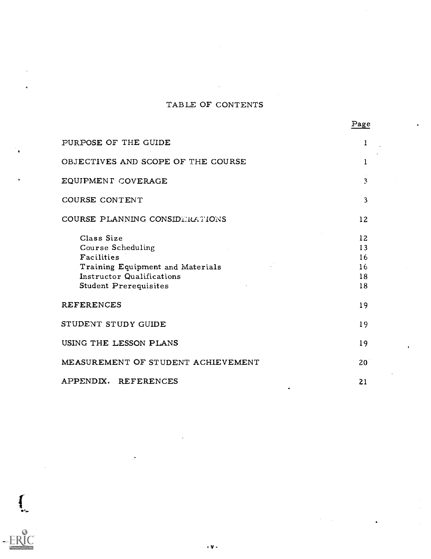# TABLE OF CONTENTS

| PURPOSE OF THE GUIDE                                                                                                                    | 1                                |
|-----------------------------------------------------------------------------------------------------------------------------------------|----------------------------------|
| OBJECTIVES AND SCOPE OF THE COURSE                                                                                                      | 1                                |
| EQUIPMENT COVERAGE                                                                                                                      | $\mathbf{3}$                     |
| COURSE CONTENT                                                                                                                          | 3                                |
| COURSE PLANNING CONSIDERATIONS                                                                                                          | 12                               |
| Class Size<br>Course Scheduling<br>Facilities<br>Training Equipment and Materials<br>Instructor Qualifications<br>Student Prerequisites | 12<br>13<br>16<br>16<br>18<br>18 |
| REFERENCES                                                                                                                              | 19                               |
| STUDENT STUDY GUIDE                                                                                                                     | 19                               |
| USING THE LESSON PLANS                                                                                                                  | 19                               |
| MEASUREMENT OF STUDENT ACHIEVEMENT                                                                                                      | 20                               |
| APPENDIX. REFERENCES                                                                                                                    | 21                               |

-v-

 $\int$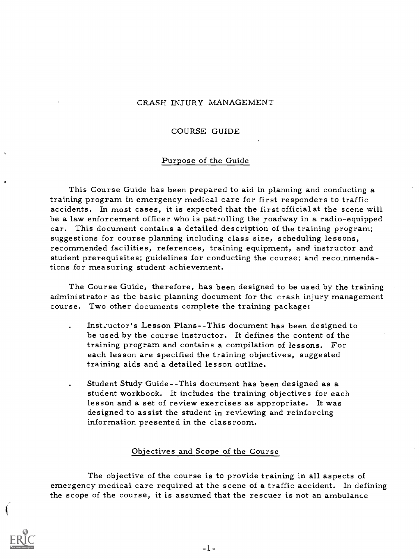# CRASH INJURY MANAGEMENT

#### COURSE GUIDE

#### Purpose of the Guide

This Course Guide has been prepared to aid in planning and conducting a training program in emergency medical care for first responders to traffic accidents. In most cases, it is expected that the first official at the scene will be a law enforcement officer who is patrolling the roadway in a radio-equipped car. This document contains a detailed description of the training program; suggestions for course planning including class size, scheduling lessons, recommended facilities, references, training equipment, and instructor and student prerequisites; guidelines for conducting the course; and recommendations for measuring student achievement.

The Course Guide, therefore, has been designed to be used by the training administrator as the basic planning document for the crash injury management course. Two other documents complete the training package:

- Instructor's Lesson Plans--This document has been designed to be used by the course instructor. It defines the content of the training program and contains a compilation of lessons. For each lesson are specified the training objectives, suggested training aids and a detailed lesson outline.
- Student Study Guide--This document has been designed as a student workbook. It includes the training objectives for each lesson and a set of review exercises as appropriate. It was designed to assist the student in reviewing and reinforcing information presented in the classroom.

#### Objectives and Scope of the Course

The objective of the course is to provide training in all aspects of emergency medical care required at the scene of a traffic accident. In defining the scope of the course, it is assumed that the rescuer is not an ambulance

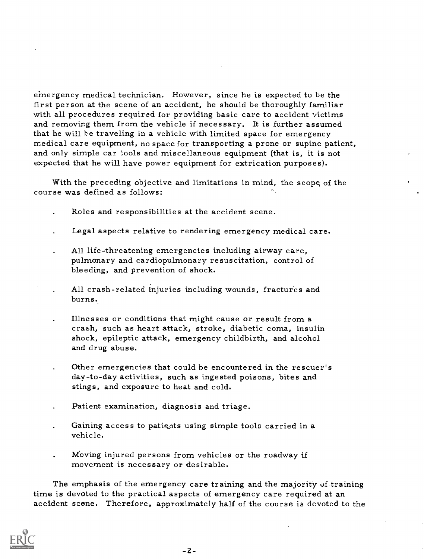emergency medical technician. However, since he is expected to be the first person at the scene of an accident, he should be thoroughly familiar with all procedures required for providing basic care to accident victims and removing them from the vehicle if necessary. It is further assumed that he will be traveling in a vehicle with limited space for emergency medical care equipment, no space for transporting a prone or supine patient, and only simple car tools and miscellaneous equipment (that is, it is not expected that he will have power equipment for extrication purposes).

With the preceding objective and limitations in mind, the scope of the course was defined as follows:

- Roles and responsibilities at the accident scene.
- Legal aspects relative to rendering emergency medical care.
- All life-threatening emergencies including airway care, pulmonary and cardiopulmonary resuscitation, control of bleeding, and prevention of shock.
- All crash-related injuries including wounds, fractures and burns..
- Illnesses or conditions that might cause or result from a crash, such as heart attack, stroke, diabetic coma, insulin shock, epileptic attack, emergency childbirth, and alcohol and drug abuse.
- Other emergencies that could be encountered in the rescuer's day-to-day activities, such as ingested poisons, bites and stings, and exposure to heat and cold.
- Patient examination, diagnosis and triage.
- Gaining access to patients using simple tools carried in a vehicle.
- Moving injured persons from vehicles or the roadway if movement is necessary or desirable.

The emphasis of the emergency care training and the majority of training time is devoted to the practical aspects of emergency care required at an accident scene. Therefore, approximately half of the course is devoted to the

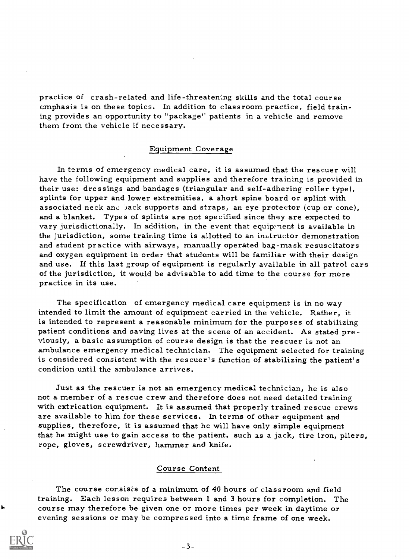practice of crash-related and life - threatening skills and the total course emphasis is on these topics. In addition to classroom practice, field training provides an opportunity to "package" patients in a vehicle and remove them from the vehicle if necessary.

#### Equipment Coverage

In terms of emergency medical care, it is assumed that the rescuer will have the following equipment and supplies and therefore training is provided in their use: dressings and bandages (triangular and self-adhering roller type), splints for upper and lower extremities, a short spine board or splint with associated neck and back supports and straps, an eye protector (cup or cone), and a blanket. Types of splints are not specified since they are expected to vary jurisdictionally. In addition, in the event that equipment is available in the jurisdiction, some training time is allotted to an instructor demonstration and student practice with airways, manually operated bag-mask resuscitators and oxygen equipment in order that students will be familiar with their design and use. If this last group of equipment is regularly available in all patrol cars of the jurisdiction, it would be advisable to add time to the course for more practice in its use.

The specification of emergency medical care equipment is in no way intended to limit the amount of equipment carried in the vehicle. Rather, it is intended to represent a reasonable minimum for the purposes of stabilizing patient conditions and saving lives at the scene of an accident. As stated previously, a basic assumption of course design is that the rescuer is not an ambulance emergency medical technician. The equipment selected for training is considered consistent with the rescuer's function of stabilizing the patient's condition until the ambulance arrives.

Just as the rescuer is not an emergency medical technician, he is also not a member of a rescue crew and therefore does not need detailed training<br>with extrication equipment. It is assumed that properly trained rescue crews<br>are available to him for these services. In terms of other equipment supplies, therefore, it is assumed that he will have only simple equipment<br>that he might use to gain access to the patient, such as a jack, tire iron, pliers, rope, gloves, screwdriver, hammer and knife.

# Course Content

The course consists of a minimum of 40 hours of classroom and field training. Each lesson requires between 1 and 3 hours for completion. The course may therefore be given one or more times per week in daytime or evening sessions or may he compressed into a time frame of one week.



ţ,

 $-3-$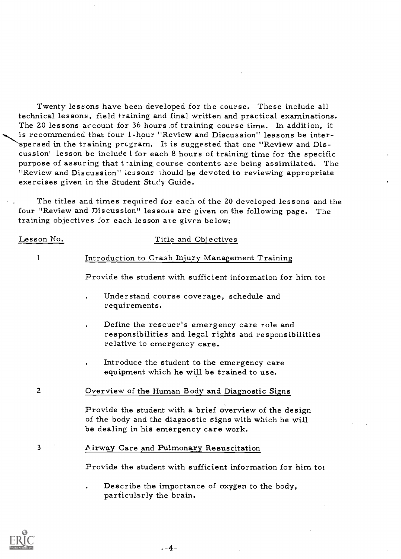Twenty lessons have been developed for the course. These include all technical lessons, field training and final written and practical examinations. The 20 lessons account for 36 hours of training course time. In addition, it is recommended that four 1-hour "Review and Discussion" lessons be interspersed in the training program. It is suggested that one "Review and Discussion" lesson be include i for each 8 hours of training time for the specific purpose of assuring that training course contents are being assimilated. The "Review and Discussion" lessons should be devoted to reviewing appropriate exercises given in the Student Study Guide.

The titles and times required for each of the 20 developed lessons and the four "Review and Discussion" lessons are given on the following page. The training objectives for each lesson are given below:

#### Lesson No.

1

# Title and Objectives

# Introduction to Crash Injury Management Training

Provide the student with sufficient information for him to:

- Understand course coverage, schedule and requirements.
- Define the rescuer's emergency care role and responsibilities and legal rights and responsibilities relative to emergency care.
- Introduce the student to the emergency care equipment which he will be trained to use.

2 Overview of the Human Body and Diagnostic Signs

Provide the student with a brief overview of the design of the body and the diagnostic signs with which he will be dealing in his emergency care work.

<sup>3</sup> Airway Care and Pulmonary Resuscitation

Provide the student with sufficient information for him to:

Describe the importance of oxygen to the body, particularly the brain.



.-4-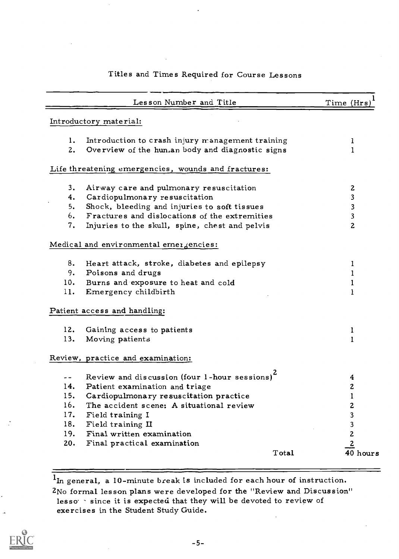# Titles and Times Required for Course Lessons

| Introductory material:<br>1.<br>Introduction to crash injury management training<br>I.<br>Overview of the hun.an body and diagnostic signs<br>$\mathbf{1}$<br>2.<br>Life threatening emergencies, wounds and fractures:<br>3.<br>Airway care and pulmonary resuscitation<br>$\boldsymbol{z}$<br>Cardiopulmonary resuscitation<br>3<br>4.<br>Shock, bleeding and injuries to soft tissues<br>5.<br>3<br>Fractures and dislocations of the extremities<br>3<br>6.<br>2<br>7.<br>Injuries to the skull, spine, chest and pelvis<br>Medical and environmental erner gencies:<br>8.<br>Heart attack, stroke, diabetes and epilepsy<br>1<br>9.<br>Poisons and drugs<br>1<br>Burns and exposure to heat and cold<br>10.<br>1<br>11.<br>Emergency childbirth<br>1<br>Patient access and handling:<br>12.<br>Gaining access to patients<br>1<br>13.<br>Moving patients<br>$\mathbf{1}$<br>Review, practice and examination:<br>Review and discussion (four 1-hour sessions) <sup>2</sup><br>4<br>$\mathbf 2$<br>Patient examination and triage<br>14.<br>$\mathbf{1}$<br>15.<br>Cardiopulmonary resuscitation practice<br>16.<br>The accident scene: A situational review<br>2<br>17.<br>3<br>Field training I<br>18.<br>3<br>Field training II<br>$\overline{c}$<br>Final written examination<br>19.<br>$\overline{2}$<br>20.<br>Final practical examination<br>40 hours<br>Total | Lesson Number and Title | Time (Hrs |
|---------------------------------------------------------------------------------------------------------------------------------------------------------------------------------------------------------------------------------------------------------------------------------------------------------------------------------------------------------------------------------------------------------------------------------------------------------------------------------------------------------------------------------------------------------------------------------------------------------------------------------------------------------------------------------------------------------------------------------------------------------------------------------------------------------------------------------------------------------------------------------------------------------------------------------------------------------------------------------------------------------------------------------------------------------------------------------------------------------------------------------------------------------------------------------------------------------------------------------------------------------------------------------------------------------------------------------------------------------------------------|-------------------------|-----------|
|                                                                                                                                                                                                                                                                                                                                                                                                                                                                                                                                                                                                                                                                                                                                                                                                                                                                                                                                                                                                                                                                                                                                                                                                                                                                                                                                                                           |                         |           |
|                                                                                                                                                                                                                                                                                                                                                                                                                                                                                                                                                                                                                                                                                                                                                                                                                                                                                                                                                                                                                                                                                                                                                                                                                                                                                                                                                                           |                         |           |
|                                                                                                                                                                                                                                                                                                                                                                                                                                                                                                                                                                                                                                                                                                                                                                                                                                                                                                                                                                                                                                                                                                                                                                                                                                                                                                                                                                           |                         |           |
|                                                                                                                                                                                                                                                                                                                                                                                                                                                                                                                                                                                                                                                                                                                                                                                                                                                                                                                                                                                                                                                                                                                                                                                                                                                                                                                                                                           |                         |           |
|                                                                                                                                                                                                                                                                                                                                                                                                                                                                                                                                                                                                                                                                                                                                                                                                                                                                                                                                                                                                                                                                                                                                                                                                                                                                                                                                                                           |                         |           |
|                                                                                                                                                                                                                                                                                                                                                                                                                                                                                                                                                                                                                                                                                                                                                                                                                                                                                                                                                                                                                                                                                                                                                                                                                                                                                                                                                                           |                         |           |
|                                                                                                                                                                                                                                                                                                                                                                                                                                                                                                                                                                                                                                                                                                                                                                                                                                                                                                                                                                                                                                                                                                                                                                                                                                                                                                                                                                           |                         |           |
|                                                                                                                                                                                                                                                                                                                                                                                                                                                                                                                                                                                                                                                                                                                                                                                                                                                                                                                                                                                                                                                                                                                                                                                                                                                                                                                                                                           |                         |           |
|                                                                                                                                                                                                                                                                                                                                                                                                                                                                                                                                                                                                                                                                                                                                                                                                                                                                                                                                                                                                                                                                                                                                                                                                                                                                                                                                                                           |                         |           |
|                                                                                                                                                                                                                                                                                                                                                                                                                                                                                                                                                                                                                                                                                                                                                                                                                                                                                                                                                                                                                                                                                                                                                                                                                                                                                                                                                                           |                         |           |
|                                                                                                                                                                                                                                                                                                                                                                                                                                                                                                                                                                                                                                                                                                                                                                                                                                                                                                                                                                                                                                                                                                                                                                                                                                                                                                                                                                           |                         |           |
|                                                                                                                                                                                                                                                                                                                                                                                                                                                                                                                                                                                                                                                                                                                                                                                                                                                                                                                                                                                                                                                                                                                                                                                                                                                                                                                                                                           |                         |           |
|                                                                                                                                                                                                                                                                                                                                                                                                                                                                                                                                                                                                                                                                                                                                                                                                                                                                                                                                                                                                                                                                                                                                                                                                                                                                                                                                                                           |                         |           |
|                                                                                                                                                                                                                                                                                                                                                                                                                                                                                                                                                                                                                                                                                                                                                                                                                                                                                                                                                                                                                                                                                                                                                                                                                                                                                                                                                                           |                         |           |
|                                                                                                                                                                                                                                                                                                                                                                                                                                                                                                                                                                                                                                                                                                                                                                                                                                                                                                                                                                                                                                                                                                                                                                                                                                                                                                                                                                           |                         |           |
|                                                                                                                                                                                                                                                                                                                                                                                                                                                                                                                                                                                                                                                                                                                                                                                                                                                                                                                                                                                                                                                                                                                                                                                                                                                                                                                                                                           |                         |           |
|                                                                                                                                                                                                                                                                                                                                                                                                                                                                                                                                                                                                                                                                                                                                                                                                                                                                                                                                                                                                                                                                                                                                                                                                                                                                                                                                                                           |                         |           |
|                                                                                                                                                                                                                                                                                                                                                                                                                                                                                                                                                                                                                                                                                                                                                                                                                                                                                                                                                                                                                                                                                                                                                                                                                                                                                                                                                                           |                         |           |
|                                                                                                                                                                                                                                                                                                                                                                                                                                                                                                                                                                                                                                                                                                                                                                                                                                                                                                                                                                                                                                                                                                                                                                                                                                                                                                                                                                           |                         |           |
|                                                                                                                                                                                                                                                                                                                                                                                                                                                                                                                                                                                                                                                                                                                                                                                                                                                                                                                                                                                                                                                                                                                                                                                                                                                                                                                                                                           |                         |           |
|                                                                                                                                                                                                                                                                                                                                                                                                                                                                                                                                                                                                                                                                                                                                                                                                                                                                                                                                                                                                                                                                                                                                                                                                                                                                                                                                                                           |                         |           |
|                                                                                                                                                                                                                                                                                                                                                                                                                                                                                                                                                                                                                                                                                                                                                                                                                                                                                                                                                                                                                                                                                                                                                                                                                                                                                                                                                                           |                         |           |
|                                                                                                                                                                                                                                                                                                                                                                                                                                                                                                                                                                                                                                                                                                                                                                                                                                                                                                                                                                                                                                                                                                                                                                                                                                                                                                                                                                           |                         |           |
|                                                                                                                                                                                                                                                                                                                                                                                                                                                                                                                                                                                                                                                                                                                                                                                                                                                                                                                                                                                                                                                                                                                                                                                                                                                                                                                                                                           |                         |           |
|                                                                                                                                                                                                                                                                                                                                                                                                                                                                                                                                                                                                                                                                                                                                                                                                                                                                                                                                                                                                                                                                                                                                                                                                                                                                                                                                                                           |                         |           |
|                                                                                                                                                                                                                                                                                                                                                                                                                                                                                                                                                                                                                                                                                                                                                                                                                                                                                                                                                                                                                                                                                                                                                                                                                                                                                                                                                                           |                         |           |
|                                                                                                                                                                                                                                                                                                                                                                                                                                                                                                                                                                                                                                                                                                                                                                                                                                                                                                                                                                                                                                                                                                                                                                                                                                                                                                                                                                           |                         |           |
|                                                                                                                                                                                                                                                                                                                                                                                                                                                                                                                                                                                                                                                                                                                                                                                                                                                                                                                                                                                                                                                                                                                                                                                                                                                                                                                                                                           |                         |           |
|                                                                                                                                                                                                                                                                                                                                                                                                                                                                                                                                                                                                                                                                                                                                                                                                                                                                                                                                                                                                                                                                                                                                                                                                                                                                                                                                                                           |                         |           |
|                                                                                                                                                                                                                                                                                                                                                                                                                                                                                                                                                                                                                                                                                                                                                                                                                                                                                                                                                                                                                                                                                                                                                                                                                                                                                                                                                                           |                         |           |

 $\overline{1_{\text{In general, a 10-minute break is included for each hour of instruction.}}$ 

2No formal lesson plans were developed for the "Review and Discussion" lesso · since it is expected that they will be devoted to review of exercises in the Student Study Guide.

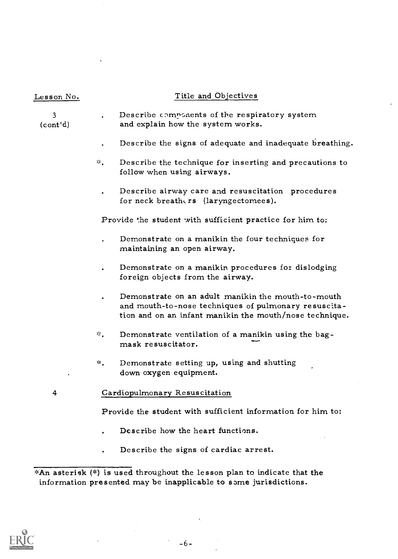| Lesson <u>No.</u> | Title and Objectives                                                                                                                                                  |
|-------------------|-----------------------------------------------------------------------------------------------------------------------------------------------------------------------|
| 3<br>(cont'd)     | Describe components of the respiratory system<br>and explain how the system works.                                                                                    |
|                   | Describe the signs of adequate and inadequate breathing.                                                                                                              |
|                   | *ँ.<br>Describe the technique for inserting and precautions to<br>follow when using airways.                                                                          |
|                   | Describe airway care and resuscitation procedures<br>for neck breathers (laryngectomees).                                                                             |
|                   | Provide the student with sufficient practice for him to:                                                                                                              |
|                   | Demonstrate on a manikin the four techniques for<br>maintaining an open airway.                                                                                       |
|                   | Demonstrate on a manikin procedures for dislodging<br>foreign objects from the airway.                                                                                |
|                   | Demonstrate on an adult manikin the mouth-to-mouth<br>and mouth-to-nose techniques of pulmonary resuscita-<br>tion and on an infant manikin the mouth/nose technique. |
|                   | 幸。<br>Demonstrate ventilation of a manikin using the bag-<br>mask resuscitator.                                                                                       |
|                   | *.<br>Demonstrate setting up, using and shutting<br>down oxygen equipment.                                                                                            |
| 4                 | Cardiopulmonary Resuscitation                                                                                                                                         |
|                   | Provide the student with sufficient information for him to:                                                                                                           |
|                   | Describe how the heart functions.                                                                                                                                     |
|                   | Describe the signs of cardiac arrest.                                                                                                                                 |

\*An asterisk (\*) is used throughout the lesson plan to indicate that the information presented may be inapplicable to some jurisdictions.



 $-6-$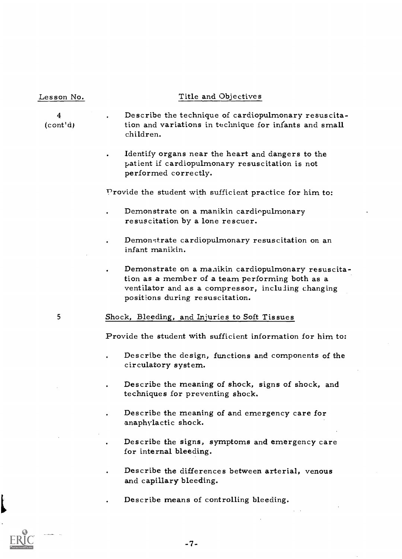#### Lesson No. Title and Objectives

4 Describe the technique of cardiopulmonary resuscita- (cont'd) tion and variations in technique for infants and small children.

> Identify organs near the heart and dangers to the patient if cardiopulmonary resuscitation is not performed correctly.

Provide the student with sufficient practice for him to:

- Demonstrate on a manikin cardiopulmonary resuscitation by a lone rescuer.
- Demonstrate cardiopulmonary resuscitation on an infant manikin.
- Demonstrate on a manikin cardiopulmonary resuscitation as a member of a team performing both as a ventilator and as a compressor, incluling changing positions during resuscitation.

# <sup>5</sup> Shock, Bleeding, and Injuries to Soft Tissues

Provide the student with sufficient information for him to;

- Describe the design, functions and components of the circulatory system.
- Describe the meaning of shock, signs of shock, and techniques for preventing shock.
- Describe the meaning of and emergency care for anaphylactic shock.
- Describe the signs, symptoms and emergency care for internal bleeding.
- Describe the differences between arterial, venous and capillary bleeding.

Describe means of controlling bleeding.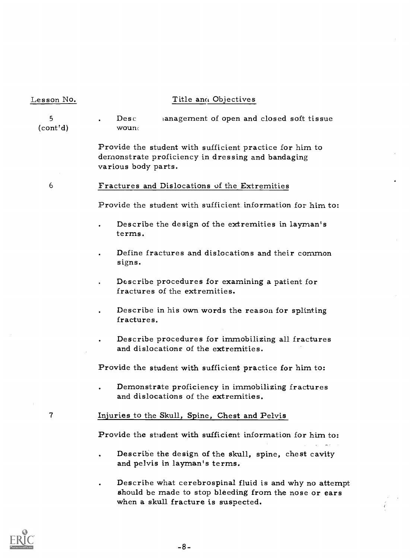# Lesson No. Title and Objectives

<sup>5</sup> Desc (cont'd) wound anagement of open and closed soft tissue

> Provide the student with sufficient practice for him to demonstrate proficiency in dressing and bandaging various body parts.

<sup>6</sup> Fractures and Dislocations of the Extremities

Provide the student with sufficient information for him to:

- Describe the design of the extremities in layman's terms.
- Define fractures and dislocations and their common signs.
- Describe procedures for examining a patient for fractures of the extremities.
- Describe in his own words the reason for splinting fractures.
- Describe procedures for immobilizing all fractures and dislocations of the extremities.

Provide the student with sufficient practice for him to:

Demonstrate proficiency in immobilizing fractures and dislocations of the extremities.

#### Injuries to the Skull, Spine, Chest and Pelvis

Provide the student with sufficient information for him to:

- Describe the design of the skull, spine, chest cavity and pelvis in layman's terms.
- Describe what cerebrospinal fluid is and why no attempt should be made to stop bleeding from the nose or ears when a skull fracture is suspected.

 $\overline{\mathcal{L}}$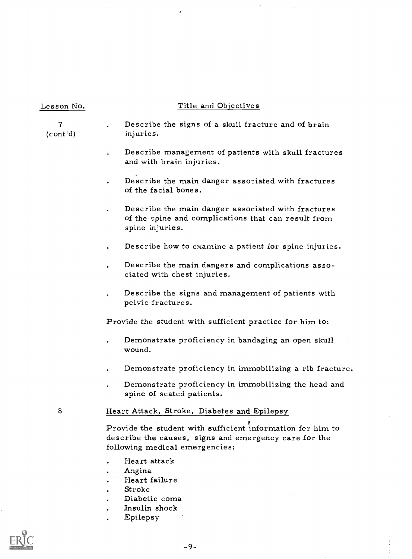# Lesson No. Title and Objectives

7 (cont'd) Describe the signs of a skull fracture and of brain injuries.

- Describe management of patients with skull fractures and with brain injuries.
- Describe the main danger associated with fractures of the facial bones.
- Describe the main danger associated with fractures of the spine and complications that can result from spine injuries.
- Describe how to examine a patient for spine injuries.
- Describe the main dangers and complications associated with chest injuries.
- Describe the signs and management of patients with pelvic fractures.

Provide the student with sufficient practice for him to:

- Demonstrate proficiency in bandaging an open skull wound.
- Demonstrate proficiency in immobilizing a rib fracture.
- Demonstrate proficiency in immobilizing the head and spine of seated patients.

# <sup>8</sup> Heart Attack, Stroke, Diabetes and Epilepsy

Provide the student with sufficient information for him to describe the causes, signs and emergency care for the following medical emergencies:

- Heart attack
- Angina
- Heart failure
- Stroke
- Diabetic coma
- Insulin shock
- Epilepsy

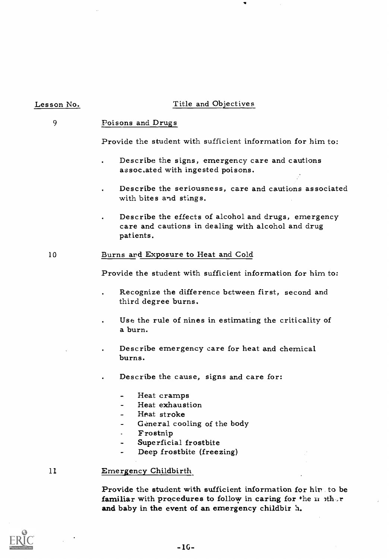# Lesson No.

# Title and Objectives

#### 9 Poisons and Drugs

Provide the student with sufficient information for him to:

- Describe the signs, emergency care and cautions associated with ingested poisons.
- Describe the seriousness, care and cautions associated with bites and stings.
- Describe the effects of alcohol and drugs, emergency care and cautions in dealing with alcohol and drug patients.

# 10 Burns ard Exposure to Heat and Cold

Provide the student with sufficient information for him to:

- Recognize the difference between first, second and third degree burns.
- Use the rule of nines in estimating the criticality of a burn.
- Describe emergency care for heat and chemical burns.
- Describe the cause, signs and care for:
	- Heat cramps
	- Heat exhaustion
	- Heat stroke
	- General cooling of the body
	- Frostnip  $\blacksquare$
	- Superficial frostbite
	- Deep frostbite (freezing)

# <sup>11</sup> Emergency Childbirth

Provide the student with sufficient information for hip to be familiar with procedures to follow in caring for the  $n$  other and baby in the event of an emergency childbir  $h$ .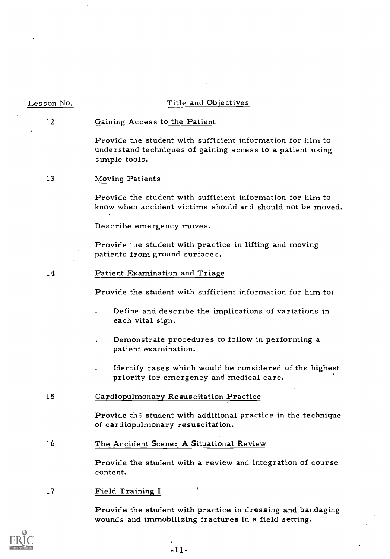| Lesson No. | Title and Objectives                                                                                                                      |
|------------|-------------------------------------------------------------------------------------------------------------------------------------------|
| 12         | Gaining Access to the Patient                                                                                                             |
|            | Provide the student with sufficient information for him to<br>understand techniques of gaining access to a patient using<br>simple tools. |
| 13         | Moving Patients                                                                                                                           |
|            | Provide the student with sufficient information for him to<br>know when accident victims should and should not be moved.                  |
|            | Describe emergency moves.                                                                                                                 |
|            | Provide the student with practice in lifting and moving<br>patients from ground surfaces.                                                 |
| 14         | Patient Examination and Triage                                                                                                            |
|            | Provide the student with sufficient information for him to:                                                                               |
|            | Define and describe the implications of variations in<br>each vital sign.                                                                 |
|            | Demonstrate procedures to follow in performing a<br>patient examination.                                                                  |
|            | Identify cases which would be considered of the highest<br>priority for emergency and medical care.                                       |
| 15         | Cardiopulmonary Resuscitation Practice                                                                                                    |
|            | Provide the student with additional practice in the technique<br>of cardiopulmonary resuscitation.                                        |
| 16         | The Accident Scene: A Situational Review                                                                                                  |
|            | Provide the student with a review and integration of course<br>content.                                                                   |
| 17         | ۶<br>Field Training I                                                                                                                     |
|            | Provide the student with practice in dressing and bandaging                                                                               |



wounds and immobilizing fractures in a field setting.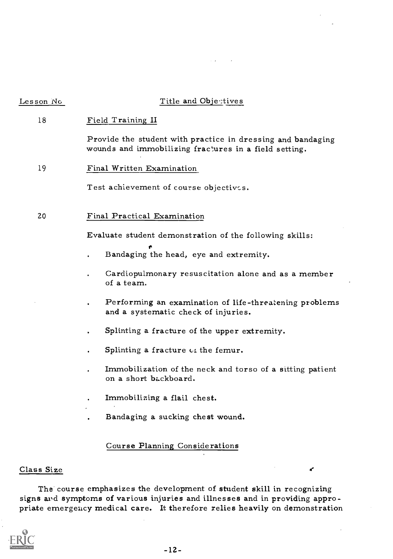| Les <u>son N</u> o | Title and Objectives                                                                                                 |
|--------------------|----------------------------------------------------------------------------------------------------------------------|
| 18                 | Field Training II                                                                                                    |
|                    | Provide the student with practice in dressing and bandaging<br>wounds and immobilizing fractures in a field setting. |
| 19                 | Final Written Examination                                                                                            |
|                    | Test achievement of course objectives.                                                                               |
| 20                 | Final Practical Examination                                                                                          |
|                    | Evaluate student demonstration of the following skills:                                                              |
|                    | Bandaging the head, eye and extremity.                                                                               |
|                    | Cardiopulmonary resuscitation alone and as a member<br>of a team.                                                    |
|                    | Performing an examination of life-threatening problems<br>and a systematic check of injuries.                        |
|                    | Splinting a fracture of the upper extremity.                                                                         |
|                    | Splinting a fracture of the femur.                                                                                   |
|                    | Immobilization of the neck and torso of a sitting patient<br>on a short backboard.                                   |
|                    | Immobilizing a flail chest.                                                                                          |
|                    | Bandaging a sucking chest wound.                                                                                     |
|                    | Course Planning Considerations                                                                                       |

# Class Size

The course emphasizes the development of student skill in recognizing signs and symptoms of various injuries and illnesses and in providing appropriate emergency medical care. It therefore relies heavily on demonstration

z.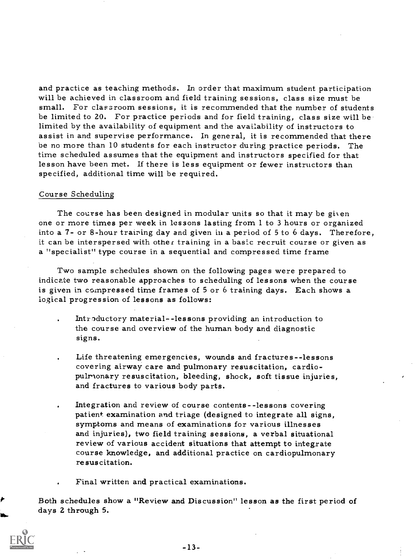and practice as teaching methods. In order that maximum student participation will be achieved in classroom and field training sessions, class size must be small. For classroom sessions, it is recommended that the number of students be limited to 20. For practice periods and for field training, class size will be limited by the availability of equipment and the availability of instructors to assist in and supervise performance. In general, it is recommended that there be no more than 10 students for each instructor during practice periods. The time scheduled assumes that the equipment and instructors specified for that lesson have been met. If there is less equipment or fewer instructors than specified, additional time will be required.

#### Course Scheduling

The course has been designed in modular units so that it may be given one or more times per week in lessons lasting from 1 to 3 hours or organized into a 7- or 8-hour training day and given in a period of 5 to 6 days. Therefore, it can be interspersed with other training in a basic recruit course or given as a "specialist" type course in a sequential and compressed time frame

Two sample schedules shown on the following pages were prepared to indicate two reasonable approaches to scheduling of lessons when the course is given in compressed time frames of 5 or 6 training days. Each shows a logical progression of lessons as follows:

- Introductory material--lessons providing an introduction to the course and overview of the human body and diagnostic signs.
- Life threatening emergencies, wounds and fractures -- lessons covering airway care and pulmonary resuscitation, cardiopulmonary resuscitation, bleeding, shock, soft tissue injuries, and fractures to various body parts.
- Integration and review of course contents--lessons covering patient examination and triage (designed to integrate all signs, symptoms and means of examinations for various illnesses and injuries), two field training sessions, a verbal situational review of various accident situations that attempt to integrate course knowledge, and additional practice on cardiopulmonary resuscitation.

Final written and practical examinations.

Both schedules show a "Review and Discussion" lesson as the first period of days 2 through 5.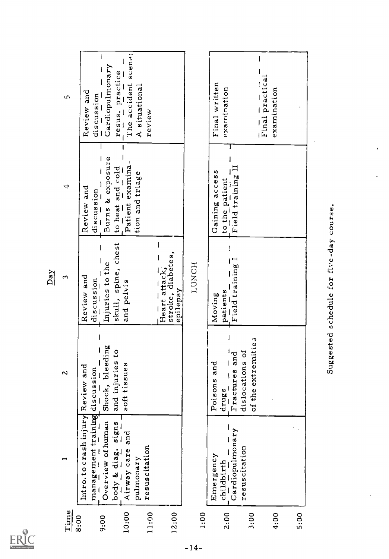|       |                                                                    |                                                           | Day                                            |                                      |                                                   |
|-------|--------------------------------------------------------------------|-----------------------------------------------------------|------------------------------------------------|--------------------------------------|---------------------------------------------------|
| Time  |                                                                    | $\overline{a}$                                            | 3                                              | 4                                    | ω                                                 |
| 8:00  | Intro.to crash injury Review and<br>management training discussion |                                                           | Review and<br>discussion                       | Review and<br>discussion             | Review and<br>discussion                          |
| 9:00  | Overview of human<br>body & diag. signs                            | Shock, bleeding<br>and injuries to                        | skull, spine, chest<br>Injuries to the         | Burns & exposure<br>to heat and cold | Cardiopulmonary                                   |
| 10:00 | Airway care and                                                    | soft tissues                                              | and pelvis                                     | Patient examina-                     | The accident scene:<br>resus. practice            |
| 11:00 | resuscitation<br>pulmonary                                         |                                                           |                                                | tion and triage                      | A situational<br>review                           |
| 12:00 |                                                                    |                                                           | Heart attack,<br>stroke, diabetes,<br>epilepsy |                                      |                                                   |
| 1:00  |                                                                    |                                                           | HONCH                                          |                                      |                                                   |
| 2:00  | Emergency<br>childbirth                                            | Poisons and<br>drugs                                      | patients<br>Moving                             | Gaining access<br>to the patient     | Final written<br>examination                      |
| 3:00  | Cardiopulmonary<br>resuscitation                                   | of the extremities<br>dislocations of<br>$F$ ractures and | Field training I                               | Field training II                    |                                                   |
| 4:00  |                                                                    |                                                           |                                                |                                      | $\frac{1}{\text{Final practical}}$<br>examination |
| 5:00  |                                                                    |                                                           |                                                |                                      |                                                   |
|       |                                                                    |                                                           | Suggested schedule for five-day course.        |                                      |                                                   |

 $\mathop{\mathrm{\mathbf{ERIC}}}\limits_{\mathop{\mathsf{Aut}\mathbb{R}\mathrm{R}}\limits^{\bullet}}\mathop{\mathrm{\mathbf{PCC}}}\limits_{\mathop{\mathrm{\mathbf{F6000C}}} \limits^{\bullet}}$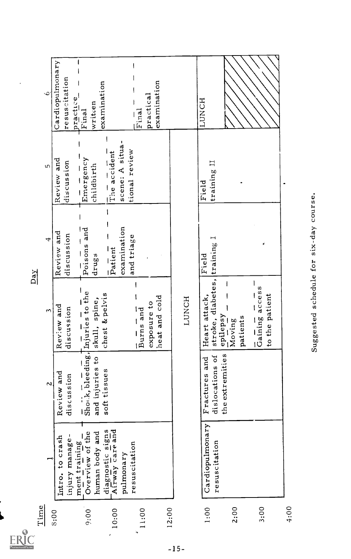| $\mathbf{\hat{e}}$ | Cardiopulmonary | resuscitation | practice<br>Final                                                                                                                                                                                                                                                                                                   | examination<br>written         |                                     |                 | Final                | practical   | examination   |       | LUNCH                                         |                 |        |          |                                         |                |      |  |
|--------------------|-----------------|---------------|---------------------------------------------------------------------------------------------------------------------------------------------------------------------------------------------------------------------------------------------------------------------------------------------------------------------|--------------------------------|-------------------------------------|-----------------|----------------------|-------------|---------------|-------|-----------------------------------------------|-----------------|--------|----------|-----------------------------------------|----------------|------|--|
| LΩ                 | Review and      | discussion    | $\frac{1}{2}$ Emergency                                                                                                                                                                                                                                                                                             | childbirth                     | $\overline{T}$ ine accident         | scene: A situa- | tional review        |             |               |       | training II<br>Field                          |                 |        |          |                                         |                |      |  |
| 4<br>$Day$         | Review and      | discussion    | $Poisons$ and                                                                                                                                                                                                                                                                                                       | drugs                          | Pational                            | examination     | and triage           |             |               |       | Field                                         |                 |        |          | ø                                       |                |      |  |
| 3                  | Review and      | discussion    |                                                                                                                                                                                                                                                                                                                     | skull, spine,                  | chest & pelvis                      |                 | a = and<br>Burns and | exposure to | heat and cold | LUNCH | stroke, diabetes, training I<br>Heart attack, | epilepsy        | Moving | patients | $\frac{1}{\sinh(\frac{\pi}{2})}$ access | to the patient |      |  |
| $\sim$             | Review and      | discussion    | $\frac{1}{2}$ , $\frac{1}{2}$ $\frac{1}{2}$ $\frac{1}{2}$ $\frac{1}{2}$ $\frac{1}{2}$ $\frac{1}{2}$ $\frac{1}{2}$ $\frac{1}{2}$ $\frac{1}{2}$ $\frac{1}{2}$ $\frac{1}{2}$ $\frac{1}{2}$ $\frac{1}{2}$ $\frac{1}{2}$ $\frac{1}{2}$ $\frac{1}{2}$ $\frac{1}{2}$ $\frac{1}{2}$ $\frac{1}{2}$ $\frac{1}{2}$ $\frac{1}{$ | $\overline{c}$<br>and injuries | soft tissues                        |                 |                      |             |               |       | ď<br>and<br>dislocations<br>Fractures         | the extremities |        |          |                                         |                |      |  |
|                    | Intro. to crash | injury manage | Overview of the<br>$\frac{ment\; training}{s}$                                                                                                                                                                                                                                                                      | human body and                 | diagnostic signs<br>Airway care and | pulmonary       | resuscitation        |             |               |       | Cardiopulmonary<br>resuscitation              |                 |        |          |                                         |                |      |  |
| Time               | 8:00            |               | $9:00^{-7}$                                                                                                                                                                                                                                                                                                         |                                | 10:00                               |                 |                      | 11:00       | 12:00         |       | 1:00                                          |                 | 2:00   |          | 3:00                                    |                | 4:00 |  |

l,

 $-15-$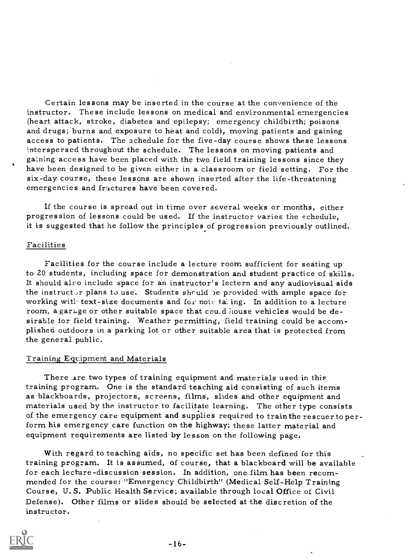Certain lessons may be inserted in the course at the convenience of the instructor. These include lessons on medical and environmental emergencies (heart attack, stroke, diabetes and epilepsy; emergency childbirth; poisons and drugs; burns and exposure to heat and cold), moving patients and gaining access to patients. The schedule for the five-day course shows these lessons interspersed throughout the schedule. The lessons on moving patients and gaining access have been placed with the two field training lessons since they have been designed to be given either in a classroom or field setting. For the six-day course, these lessons are shown inserted after the life-threatening emergencies and fractures have been covered.

If the course is spread out in time over several weeks or months, either progression of lessons could be used. If the instructor varies the schedule, it is suggested that he follow the principles of progression previously outlined.

#### Facilities

Facilities for the course include a lecture room sufficient for seating up to 20 students, including space for demonstration and student practice of skills. It should also include space for an instructor's lectern and any audiovisual aids the instructor plans to use. Students should be provided with ample space for working with text-size documents and for note tailing. In addition to a lecture room, a garage or other suitable space that cou,d house vehicles would be desirable for field training. Weather permitting, field training could be accomplished outdoors in a parking lot or other suitable area that is protected from the general public.

# Training Equipment and Materials

There are two types of training equipment and materials used in this training program. One is the standard teaching aid consisting of such items as blackboards, projectors, screens, films, slides and other equipment and<br>materials used by the instructor to facilitate learning. The other type consists<br>of the emergency care equipment and supplies required to train the form his emergency care function on the highway; these latter material and equipment requirements are listed by lesson on the following page.

With regard to teaching aids, no specific set has been defined for this training program. It is assumed, of course, that a blackboard will be available for each lecture-discussion session. In addition, one film has been recommended for the course: "Emergency Childbirth" (Medical Self-Help Training Course, U. S. Public Health Service; available through local Office of Civil Defense). Other films or slides should be selected at the discretion of the instructor.

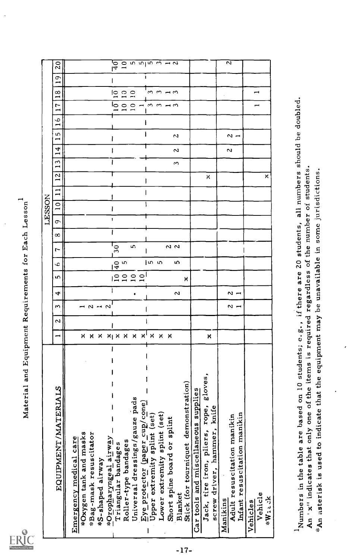|                                                                                                                     |                       |        |                                                                            |            |                          |          |           |           | LESSON                        |               |          |        |                    |               |                               |                 |                                                      |        |                                                                                   |  |
|---------------------------------------------------------------------------------------------------------------------|-----------------------|--------|----------------------------------------------------------------------------|------------|--------------------------|----------|-----------|-----------|-------------------------------|---------------|----------|--------|--------------------|---------------|-------------------------------|-----------------|------------------------------------------------------|--------|-----------------------------------------------------------------------------------|--|
| EQUIPMENT/MATERIALS                                                                                                 |                       | $\sim$ | ω                                                                          | 4          | m                        | ↩        | r-        | $^\infty$ | $\overline{\phantom{0}}$<br>ᡡ | $\circ$       | ⊣        | $\sim$ | 4,<br>−<br>ς       | −             | $\overline{\phantom{0}}$<br>S | r<br>↤<br>◡     | ∞<br>−                                               | σ<br>− | $\overline{c}$                                                                    |  |
| *Oxygen tank and masks<br>Emergency medical care                                                                    |                       |        |                                                                            |            |                          |          |           |           |                               |               |          |        |                    |               |                               |                 |                                                      |        |                                                                                   |  |
| *Bag-mask resuscitator                                                                                              |                       |        | $\overline{1}$ $\overline{2}$ $\overline{1}$ $\overline{2}$ $\overline{1}$ |            |                          |          |           |           |                               |               |          |        |                    |               |                               |                 |                                                      |        |                                                                                   |  |
| *S-shaped airway                                                                                                    |                       |        |                                                                            |            |                          |          |           |           |                               |               |          |        |                    |               |                               |                 |                                                      |        |                                                                                   |  |
| *Oropharyngeal airway<br>Triangular bandages                                                                        | <b>X X X X X X</b>    |        |                                                                            |            | $\overline{\phantom{a}}$ |          | 30        |           | $\mathbf{I}$                  |               |          |        |                    |               |                               |                 | 10<br>lо                                             |        | $\overline{q}$                                                                    |  |
| Roller-type bandages                                                                                                |                       |        |                                                                            |            |                          | o w      |           |           |                               |               |          |        |                    |               |                               | $\overline{10}$ | $\circ$ $\circ$<br>$\overline{\phantom{a}}$          |        | $\frac{1}{2}$ in $\frac{1}{2}$ in $\frac{1}{2}$ in $\frac{1}{2}$ in $\frac{1}{2}$ |  |
| Universal dressings/gauze pads                                                                                      | $\pmb{\times}$        |        |                                                                            |            |                          |          | S         |           |                               |               |          |        |                    |               |                               | $\overline{10}$ | $\overline{\phantom{0}}$                             |        |                                                                                   |  |
| Eye protector (paper cup/cone)                                                                                      | $\times$ <sup>1</sup> | ł      |                                                                            |            |                          |          |           |           |                               |               |          |        |                    |               |                               |                 | $- 0$ $- 0$                                          |        |                                                                                   |  |
| Upper extremity splint (set)                                                                                        | $\pmb{\times}$        |        |                                                                            |            |                          | ഗ ഗ      |           |           |                               |               |          |        |                    |               |                               |                 | <u>ຕ ຕ ⊣ ຕ</u>                                       |        |                                                                                   |  |
| Lower extremity splint (set)                                                                                        | $x \times$            |        |                                                                            |            |                          |          |           |           |                               |               |          |        |                    |               |                               |                 |                                                      |        |                                                                                   |  |
| Short spine board or splint<br><b>Blanket</b>                                                                       |                       |        |                                                                            | $\sim$     |                          | ഥ        | 2<br>2    |           |                               |               |          |        | $\sim$<br>S        | N             |                               |                 |                                                      |        |                                                                                   |  |
| Stick (for tourniquet demonstration)                                                                                |                       |        |                                                                            |            | ×                        |          |           |           |                               |               |          |        |                    |               |                               |                 |                                                      |        |                                                                                   |  |
| Car tools and miscellaneous supplies                                                                                |                       |        |                                                                            |            |                          |          |           |           |                               |               |          |        |                    |               |                               |                 |                                                      |        |                                                                                   |  |
| gloves,<br>Jack, tire iron, pliers, rope,                                                                           | ×                     |        |                                                                            |            |                          |          |           |           |                               |               |          | ×      |                    |               |                               |                 |                                                      |        |                                                                                   |  |
| screw driver, hammer, knife                                                                                         |                       |        |                                                                            |            |                          |          |           |           |                               |               |          |        |                    |               |                               |                 |                                                      |        |                                                                                   |  |
| Manikins                                                                                                            |                       |        |                                                                            |            |                          |          |           |           |                               |               |          |        | N                  |               |                               |                 |                                                      |        | $\mathbf{z}$                                                                      |  |
| Infant resuscitation manikin<br>Adult resuscitation manikin                                                         |                       |        | $\sim$ $-$                                                                 | $\sim$ $-$ |                          |          |           |           |                               |               |          |        |                    | $\sim$ $\sim$ |                               |                 |                                                      |        |                                                                                   |  |
| Vehicles                                                                                                            |                       |        |                                                                            |            |                          |          |           |           |                               |               |          |        |                    |               |                               |                 |                                                      |        |                                                                                   |  |
| Vehicle                                                                                                             |                       |        |                                                                            |            |                          |          |           |           |                               |               |          |        |                    |               |                               |                 | $\overline{\phantom{0}}$<br>$\overline{\phantom{0}}$ |        |                                                                                   |  |
| *Wieck                                                                                                              |                       |        |                                                                            |            |                          |          |           |           |                               |               |          | ×      |                    |               |                               |                 |                                                      |        |                                                                                   |  |
|                                                                                                                     |                       |        |                                                                            |            |                          |          |           |           |                               |               |          |        |                    |               |                               |                 |                                                      |        |                                                                                   |  |
|                                                                                                                     |                       |        |                                                                            |            |                          |          |           |           |                               |               |          |        |                    |               |                               |                 |                                                      |        |                                                                                   |  |
| ents;<br>Numbers in the table are based on 10 stud                                                                  | e.g.,                 |        | if there                                                                   |            | are                      | Jo<br>20 | students, |           |                               | all numbers   | students |        | should be doubled. |               |                               |                 |                                                      |        |                                                                                   |  |
| *An asterisk is used to indicate that the equipment<br>$\frac{1}{1}$<br>An 'x" indicates that only one of the items | required              | may    | eم<br>م                                                                    | regardless | unavailable              |          | $\Xi$     | some      | the number of                 | jurisdictions |          |        |                    |               |                               |                 |                                                      |        |                                                                                   |  |
|                                                                                                                     |                       |        |                                                                            |            |                          |          |           |           |                               |               |          |        |                    |               |                               |                 |                                                      |        |                                                                                   |  |
|                                                                                                                     |                       |        |                                                                            |            |                          |          |           |           |                               |               |          |        |                    |               |                               |                 |                                                      |        |                                                                                   |  |
|                                                                                                                     |                       |        |                                                                            |            |                          |          |           |           |                               |               |          |        |                    |               |                               |                 |                                                      |        |                                                                                   |  |
|                                                                                                                     |                       |        |                                                                            |            |                          |          |           |           |                               |               |          |        |                    |               |                               |                 |                                                      |        |                                                                                   |  |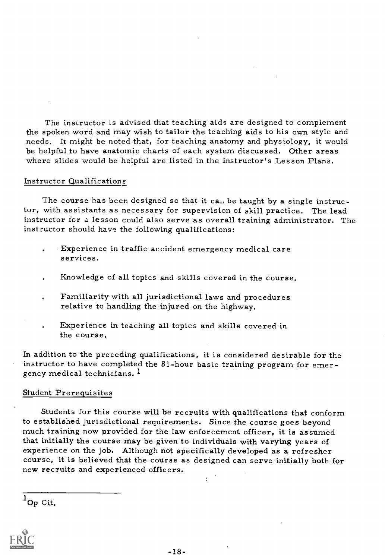The instructor is advised that teaching aids are designed to complement the spoken word and may wish to tailor the teaching aids to his own style and needs. It might be noted that, for teaching anatomy and physiology, it would be helpful to have anatomic charts of each system discussed. Other areas where slides would be helpful are listed in the Instructor's Lesson Plans.

#### Instructor Qualifications

The course has been designed so that it can be taught by a single instructor, with assistants as necessary for supervision of skill practice. The lead instructor for a lesson could also serve as overall training administrator. The instructor should have the following qualifications:

- Experience in traffic accident emergency medical care services.
- Knowledge of all topics and skills covered in the course.
- Familiarity with all jurisdictional laws and procedures relative to handling the injured on the highway.
- Experience in teaching all topics and skills covered in the course.

In addition to the preceding qualifications, it is considered desirable for the instructor to have completed the 81-hour basic training program for emer-<br>gency medical technicians.<sup>1</sup>

#### Student Prerequisites

Students for this course will be recruits with qualifications that conform to established jurisdictional requirements. Since the course goes beyond much training now provided for the law enforcement officer, it is assumed that initially the course may be given to individuals with varying years of experience on the job. Although not specifically developed as a refresher course, it is believed that the course as designed can serve initially b

 $1_{\text{Op }\text{Cit.}}$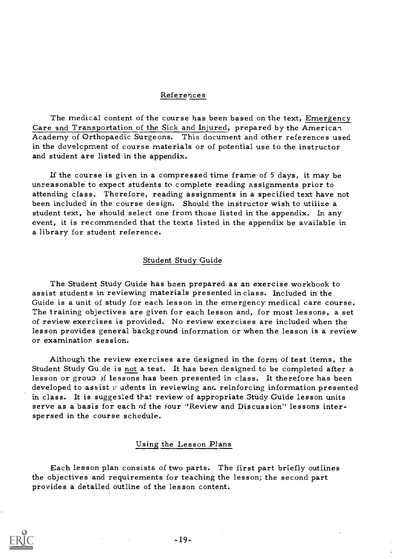# References

The medical content of the course has been based on the text, Emergency Care and Transportation of the Sick and Injured, prepared by the American Academy of Orthopaedic Surgeons. This document and other references used in the development of course materials or of potential use to the instructor and student are listed in the appendix.

If the course is given in a compressed time frame of  $5$  days, it may be unreasonable to expect students to complete reading assignments prior to attending class. Therefore, reading assignments in a specified text have not been included in the course design. Should the instructor wish to utilize a student text, he should select one from those listed in the appendix. In any event, it is recommended that the texts listed in the appendix be available in a library for student reference.

#### Student Study Guide

The Student Study Guide has been prepared as an exercise workbook to assist students in reviewing materials presented in class. Included in the Guide is a unit of study for each lesson in the emergency medical care course. The training objectives are given for each lesson and, for most lessons, a set of review exercises is provided. No review exercises are included when the lesson provides general background information or when the lesson is a review or examination. session.

Although the review exercises are designed in the form of test items, the Student Study Gu de is not a test. It has been designed to be completed after a lesson or group of lessons has been presented in class. It therefore has been developed to assist mudents in reviewing and reinforcing information presented in class. It is suggested that review of appropriate Study Guide lesson units serve as a basis for each of the four "Review and Discussion" lessons interspersed in the course schedule.

#### Using the Lesson Plans

Each lesson plan consists of two parts. The first part briefly outlines the objectives and requirements for teaching the lesson; the second part provides a detailed outline of the lesson content.

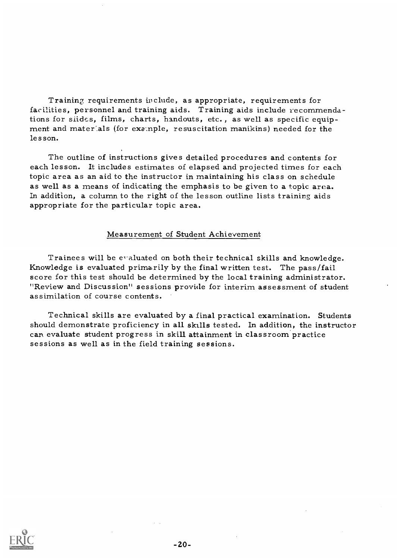Training requirements include, as appropriate, requirements for facilities, personnel and training aids. Training aids include recommendations for slides, films, charts, handouts, etc., as well as specific equip-<br>ment and materials (for example, resuscitation manikins) needed for the les son.

The outline of instructions gives detailed procedures and contents for each lesson. It includes estimates of elapsed and projected times for each topic area as an aid to the instructor in maintaining his class on schedule as well as a means of indicating the emphasis to be given to a topic area. In addition, a column to the right of the lesson outline lists training aids appropriate for the particular topic area.

#### Measurement of Student Achievement

Trainees will be evaluated on both their technical skills and knowledge. Knowledge is evaluated primarily by the final written test. The pass/fail score for this test should be determined by the local training administrator. "Review and Discussion" sessions provide for interim assessment of student assimilation of course contents.

Technical skills are evaluated by a final practical examination. Students should demonstrate proficiency in all skills tested. In addition, the instructor can evaluate student progress in skill attainment in classroom practice sessions as well as in the field training sessions.

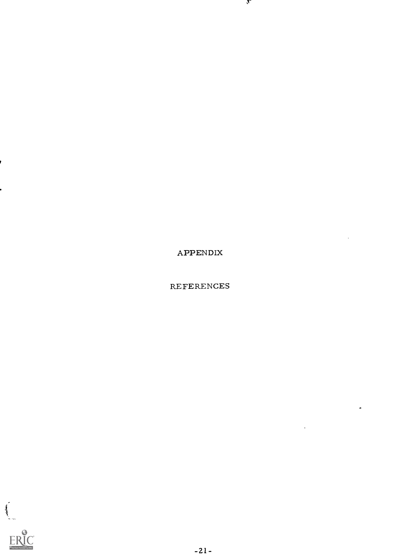

REFERENCES

 $\bullet$ 

APPENDIX